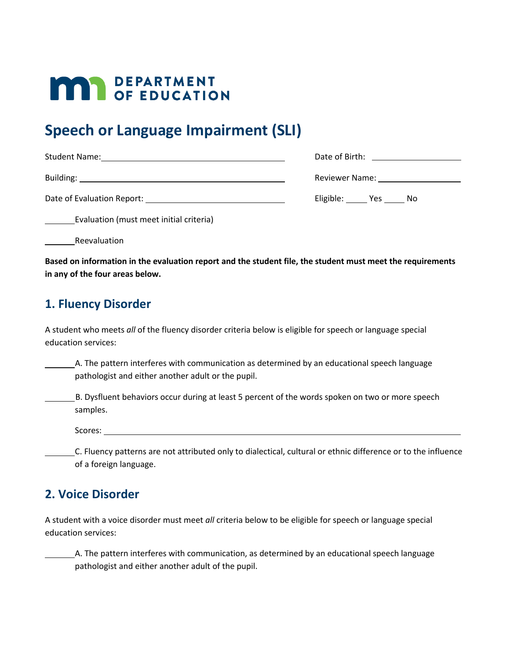# **MAY DEPARTMENT**

## **Speech or Language Impairment (SLI)**

|                                          | Date of Birth: <u>___________________</u> |
|------------------------------------------|-------------------------------------------|
|                                          | Reviewer Name: Names                      |
| Date of Evaluation Report: New York 1988 | Eligible: Yes No                          |

Evaluation (must meet initial criteria)

Reevaluation

**Based on information in the evaluation report and the student file, the student must meet the requirements in any of the four areas below.** 

### **1. Fluency Disorder**

A student who meets *all* of the fluency disorder criteria below is eligible for speech or language special education services:

A. The pattern interferes with communication as determined by an educational speech language pathologist and either another adult or the pupil.

B. Dysfluent behaviors occur during at least 5 percent of the words spoken on two or more speech samples.

Scores:

C. Fluency patterns are not attributed only to dialectical, cultural or ethnic difference or to the influence of a foreign language.

### **2. Voice Disorder**

A student with a voice disorder must meet *all* criteria below to be eligible for speech or language special education services:

A. The pattern interferes with communication, as determined by an educational speech language pathologist and either another adult of the pupil.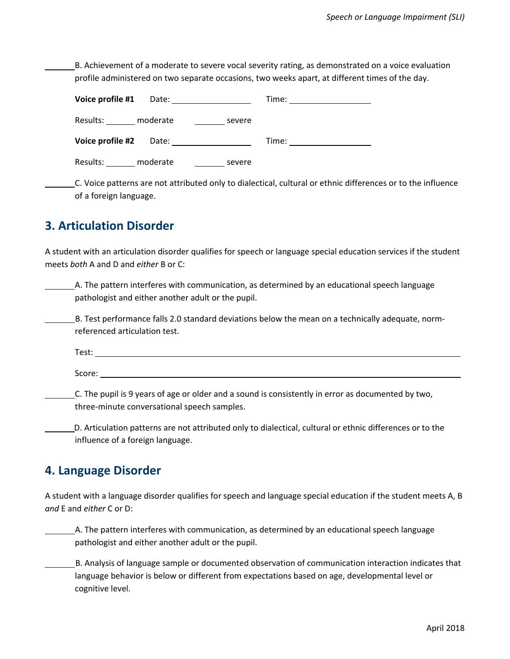B. Achievement of a moderate to severe vocal severity rating, as demonstrated on a voice evaluation profile administered on two separate occasions, two weeks apart, at different times of the day.

| Voice profile #1<br>Date:      | Time:  |  |
|--------------------------------|--------|--|
| Results:<br>moderate<br>severe |        |  |
| Voice profile #2<br>Date:      | Time:  |  |
| moderate<br>Results:           | severe |  |

C. Voice patterns are not attributed only to dialectical, cultural or ethnic differences or to the influence of a foreign language.

### **3. Articulation Disorder**

A student with an articulation disorder qualifies for speech or language special education services if the student meets *both* A and D and *either* B or C:

A. The pattern interferes with communication, as determined by an educational speech language pathologist and either another adult or the pupil.

B. Test performance falls 2.0 standard deviations below the mean on a technically adequate, normreferenced articulation test.

Test:

Score:

C. The pupil is 9 years of age or older and a sound is consistently in error as documented by two, three-minute conversational speech samples.

D. Articulation patterns are not attributed only to dialectical, cultural or ethnic differences or to the influence of a foreign language.

#### **4. Language Disorder**

A student with a language disorder qualifies for speech and language special education if the student meets A, B *and* E and *either* C or D:

A. The pattern interferes with communication, as determined by an educational speech language pathologist and either another adult or the pupil.

B. Analysis of language sample or documented observation of communication interaction indicates that language behavior is below or different from expectations based on age, developmental level or cognitive level.